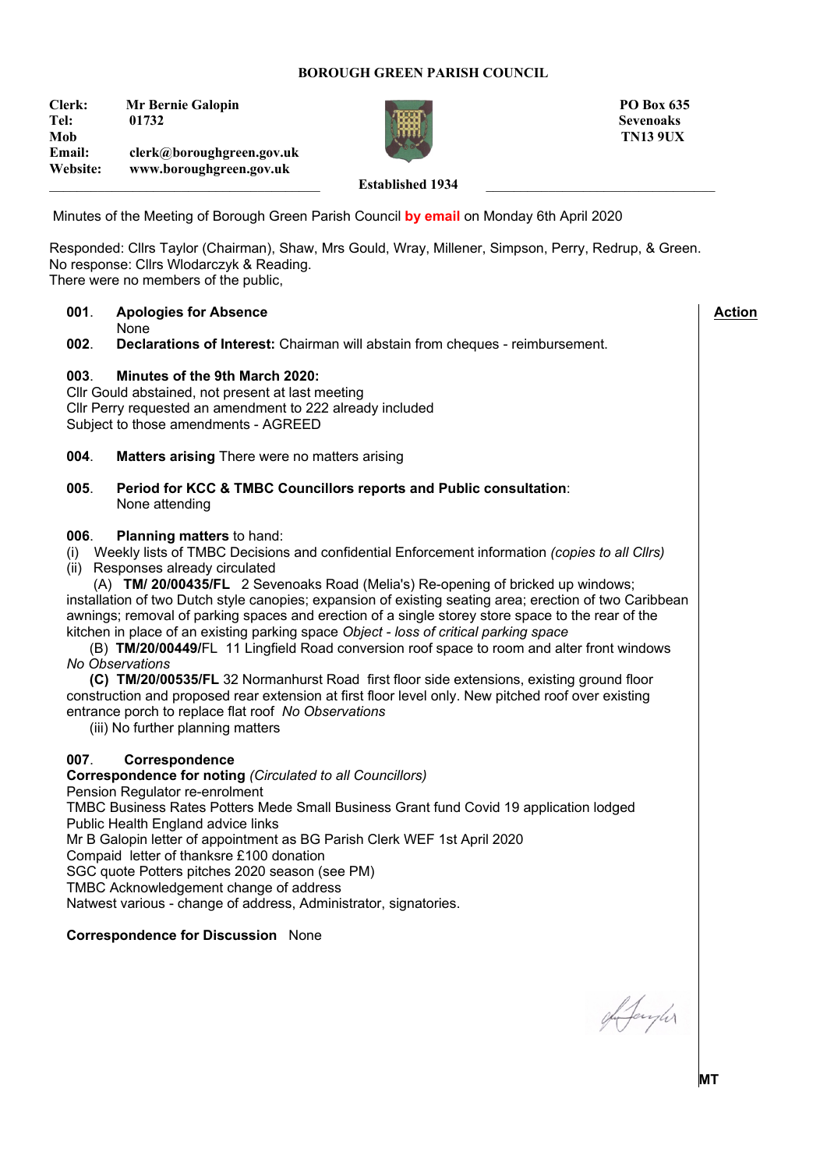### **BOROUGH GREEN PARISH COUNCIL**

**Clerk:** Mr Bernie Galopin **PO Box 635 Tel: 01732 Sevenoaks Mob TN13 9UX Email: clerk@boroughgreen.gov.uk Website: www.boroughgreen.gov.uk**



### Established 1934

Minutes of the Meeting of Borough Green Parish Council **by email** on Monday 6th April 2020

Responded: Cllrs Taylor (Chairman), Shaw, Mrs Gould, Wray, Millener, Simpson, Perry, Redrup, & Green. No response: Cllrs Wlodarczyk & Reading. There were no members of the public,

# **001**. **Apologies for Absence** None<br>**002.** Decla **002**. **Declarations of Interest:** Chairman will abstain from cheques - reimbursement. **003**. **Minutes of the 9th March 2020:** Cllr Gould abstained, not present at last meeting Cllr Perry requested an amendment to 222 already included Subject to those amendments - AGREED **004**. **Matters arising** There were no matters arising **005**. **Period for KCC & TMBC Councillors reports and Public consultation**: None attending **006**. **Planning matters** to hand: (i) Weekly lists of TMBC Decisions and confidential Enforcement information *(copies to all Cllrs)* (ii) Responses already circulated (A) **TM/ 20/00435/FL** 2 Sevenoaks Road (Melia's) Re-opening of bricked up windows; installation of two Dutch style canopies; expansion of existing seating area; erection of two Caribbean awnings; removal of parking spaces and erection of a single storey store space to the rear of the kitchen in place of an existing parking space *Object - loss of critical parking space* (B) **TM/20/00449/**FL 11 Lingfield Road conversion roof space to room and alter front windows *No Observations* **(C) TM/20/00535/FL** 32 Normanhurst Road first floor side extensions, existing ground floor construction and proposed rear extension at first floor level only. New pitched roof over existing entrance porch to replace flat roof *No Observations* (iii) No further planning matters **007**. **Correspondence Correspondence for noting** *(Circulated to all Councillors)* Pension Regulator re-enrolment TMBC Business Rates Potters Mede Small Business Grant fund Covid 19 application lodged Public Health England advice links Mr B Galopin letter of appointment as BG Parish Clerk WEF 1st April 2020 Compaid letter of thanksre £100 donation SGC quote Potters pitches 2020 season (see PM) TMBC Acknowledgement change of address Natwest various - change of address, Administrator, signatories. **Correspondence for Discussion** None  **Action**

gh Jangher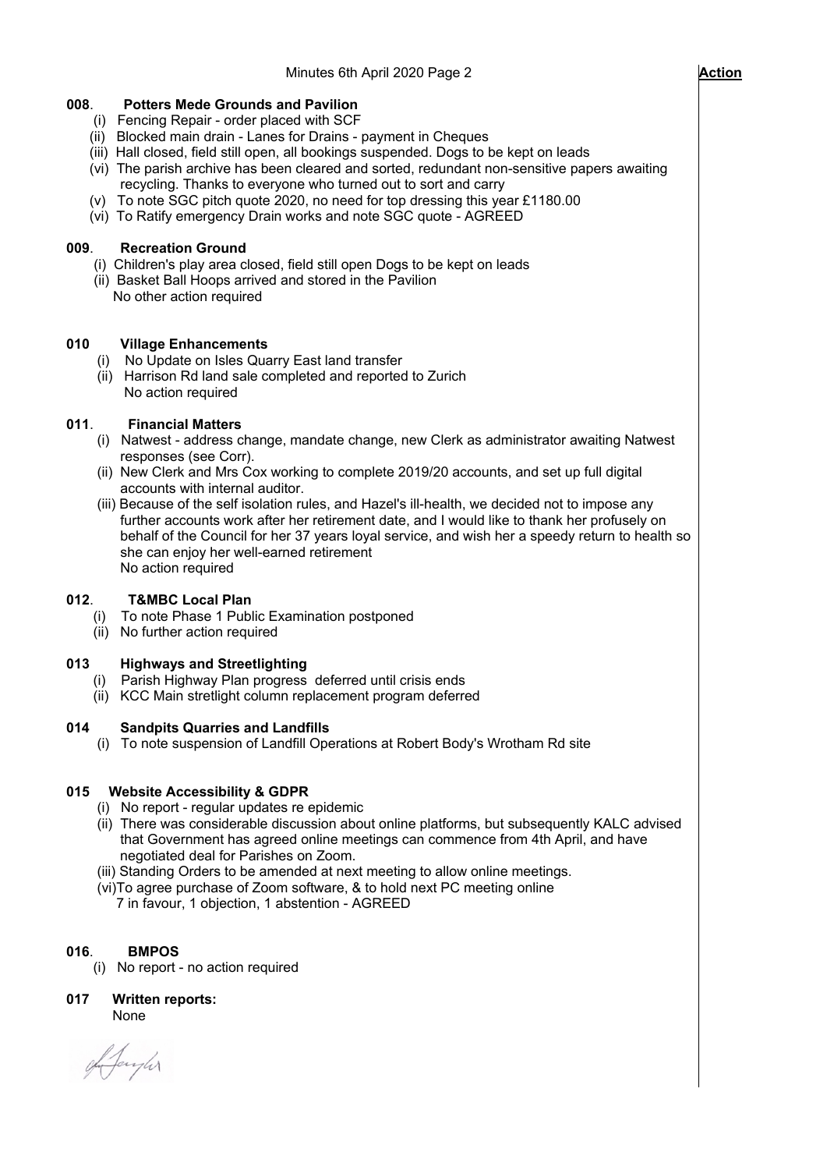# **008**. **Potters Mede Grounds and Pavilion**

- (i) Fencing Repair order placed with SCF
- (ii) Blocked main drain Lanes for Drains payment in Cheques
- (iii) Hall closed, field still open, all bookings suspended. Dogs to be kept on leads
- (vi) The parish archive has been cleared and sorted, redundant non-sensitive papers awaiting recycling. Thanks to everyone who turned out to sort and carry
- (v) To note SGC pitch quote 2020, no need for top dressing this year £1180.00
- (vi) To Ratify emergency Drain works and note SGC quote AGREED

### **009**. **Recreation Ground**

- (i) Children's play area closed, field still open Dogs to be kept on leads
- (ii) Basket Ball Hoops arrived and stored in the Pavilion
- No other action required

# **010 Village Enhancements**

- (i) No Update on Isles Quarry East land transfer
- (ii) Harrison Rd land sale completed and reported to Zurich No action required

### **011**. **Financial Matters**

- (i) Natwest address change, mandate change, new Clerk as administrator awaiting Natwest responses (see Corr).
- (ii) New Clerk and Mrs Cox working to complete 2019/20 accounts, and set up full digital accounts with internal auditor.
- (iii) Because of the self isolation rules, and Hazel's ill-health, we decided not to impose any further accounts work after her retirement date, and I would like to thank her profusely on behalf of the Council for her 37 years loyal service, and wish her a speedy return to health so she can enjoy her well-earned retirement No action required

# **012**. **T&MBC Local Plan**

- To note Phase 1 Public Examination postponed
- (ii) No further action required

#### **013 Highways and Streetlighting**

- (i) Parish Highway Plan progress deferred until crisis ends
- (ii) KCC Main stretlight column replacement program deferred

#### **014 Sandpits Quarries and Landfills**

(i) To note suspension of Landfill Operations at Robert Body's Wrotham Rd site

#### **015 Website Accessibility & GDPR**

- (i) No report regular updates re epidemic
- (ii) There was considerable discussion about online platforms, but subsequently KALC advised that Government has agreed online meetings can commence from 4th April, and have negotiated deal for Parishes on Zoom.
- (iii) Standing Orders to be amended at next meeting to allow online meetings.
- (vi)To agree purchase of Zoom software, & to hold next PC meeting online 7 in favour, 1 objection, 1 abstention - AGREED

# **016**. **BMPOS**

(i) No report - no action required

**017 Written reports:** None

of Janyler

 $\overline{\phantom{a}}$